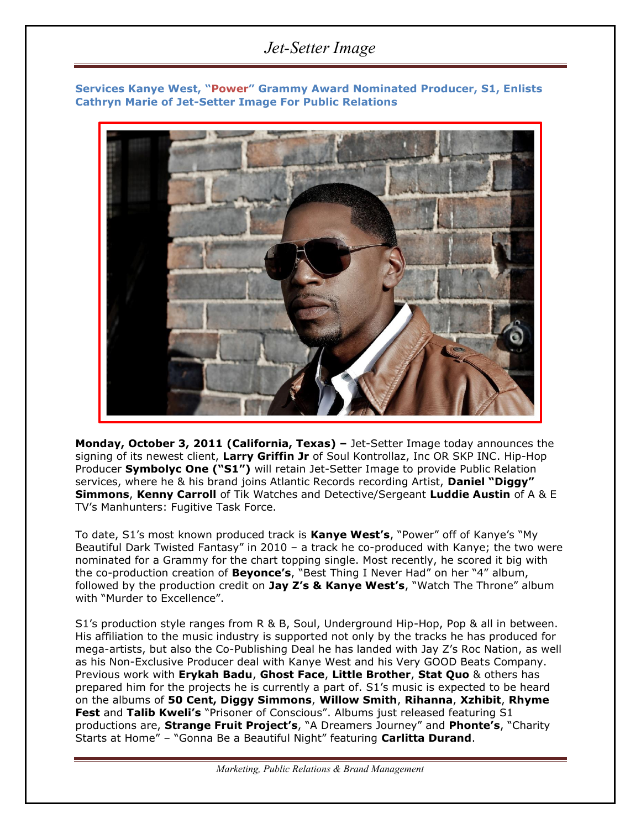## *Jet-Setter Image*

**Services Kanye West, "Power" Grammy Award Nominated Producer, S1, Enlists Cathryn Marie of Jet-Setter Image For Public Relations**



**Monday, October 3, 2011 (California, Texas) –** Jet-Setter Image today announces the signing of its newest client, **Larry Griffin Jr** of Soul Kontrollaz, Inc OR SKP INC. Hip-Hop Producer **Symbolyc One ("S1")** will retain Jet-Setter Image to provide Public Relation services, where he & his brand joins Atlantic Records recording Artist, **Daniel "Diggy" Simmons**, **Kenny Carroll** of Tik Watches and Detective/Sergeant **Luddie Austin** of A & E TV's Manhunters: Fugitive Task Force.

To date, S1's most known produced track is **Kanye West's**, "Power" off of Kanye's "My Beautiful Dark Twisted Fantasy" in 2010 – a track he co-produced with Kanye; the two were nominated for a Grammy for the chart topping single. Most recently, he scored it big with the co-production creation of **Beyonce's**, "Best Thing I Never Had" on her "4" album, followed by the production credit on **Jay Z's & Kanye West's**, "Watch The Throne" album with "Murder to Excellence".

S1's production style ranges from R & B, Soul, Underground Hip-Hop, Pop & all in between. His affiliation to the music industry is supported not only by the tracks he has produced for mega-artists, but also the Co-Publishing Deal he has landed with Jay Z's Roc Nation, as well as his Non-Exclusive Producer deal with Kanye West and his Very GOOD Beats Company. Previous work with **Erykah Badu**, **Ghost Face**, **Little Brother**, **Stat Quo** & others has prepared him for the projects he is currently a part of. S1's music is expected to be heard on the albums of **50 Cent, Diggy Simmons**, **Willow Smith**, **Rihanna**, **Xzhibit**, **Rhyme Fest** and **Talib Kweli's** "Prisoner of Conscious". Albums just released featuring S1 productions are, **Strange Fruit Project's**, "A Dreamers Journey" and **Phonte's**, "Charity Starts at Home" – "Gonna Be a Beautiful Night" featuring **Carlitta Durand**.